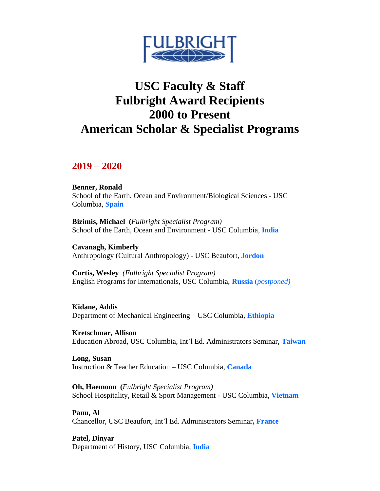

# **USC Faculty & Staff Fulbright Award Recipients 2000 to Present American Scholar & Specialist Programs**

## **2019 – 2020**

**Benner, Ronald**  School of the Earth, Ocean and Environment/Biological Sciences - USC Columbia, **Spain** 

**Bizimis, Michael (***Fulbright Specialist Program)*  School of the Earth, Ocean and Environment - USC Columbia, **India** 

**Cavanagh, Kimberly**  Anthropology (Cultural Anthropology) - USC Beaufort, **Jordon** 

 **Curtis, Wesley** *(Fulbright Specialist Program)*  English Programs for Internationals, USC Columbia, **Russia** (*postponed)* 

**Kidane, Addis**  Department of Mechanical Engineering – USC Columbia, **Ethiopia** 

**Kretschmar, Allison**  Education Abroad, USC Columbia, Int'l Ed. Administrators Seminar, **Taiwan** 

**Long, Susan**  Instruction & Teacher Education – USC Columbia, **Canada** 

**Oh, Haemoon (***Fulbright Specialist Program)*  School Hospitality, Retail & Sport Management - USC Columbia, **Vietnam** 

**Panu, Al**  Chancellor, USC Beaufort, Int'l Ed. Administrators Seminar**, France** 

**Patel, Dinyar**  Department of History, USC Columbia, **India**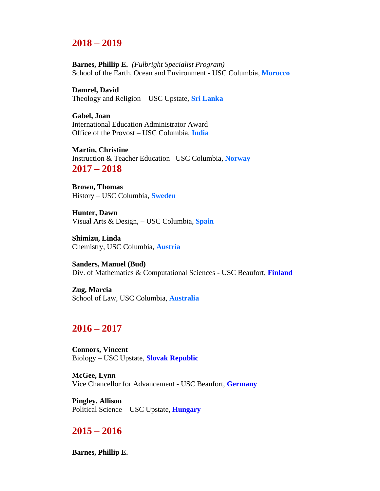# **2018 – 2019**

 **Barnes, Phillip E.** *(Fulbright Specialist Program)*  School of the Earth, Ocean and Environment - USC Columbia, **Morocco** 

**Damrel, David**  Theology and Religion – USC Upstate, **Sri Lanka** 

**Gabel, Joan**  International Education Administrator Award Office of the Provost – USC Columbia, **India** 

**Martin, Christine**  Instruction & Teacher Education– USC Columbia, **Norway 2017 – 2018** 

**Brown, Thomas**  History – USC Columbia, **Sweden** 

**Hunter, Dawn**  Visual Arts & Design, – USC Columbia, **Spain** 

**Shimizu, Linda**  Chemistry, USC Columbia, **Austria** 

**Sanders, Manuel (Bud)**  Div. of Mathematics & Computational Sciences - USC Beaufort, **Finland** 

**Zug, Marcia**  School of Law, USC Columbia, **Australia** 

## **2016 – 2017**

**Connors, Vincent**  Biology – USC Upstate, **Slovak Republic** 

**McGee, Lynn**  Vice Chancellor for Advancement - USC Beaufort, **Germany** 

**Pingley, Allison**  Political Science – USC Upstate, **Hungary** 

# **2015 – 2016**

**Barnes, Phillip E.**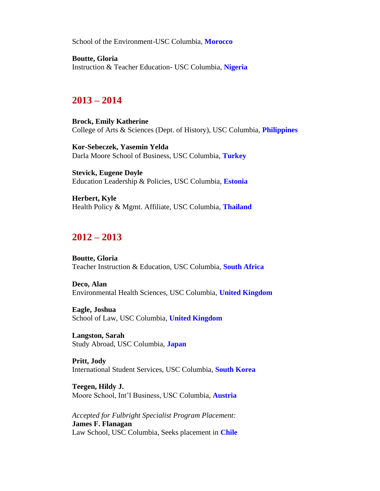School of the Environment-USC Columbia, **Morocco** 

**Boutte, Gloria**  Instruction & Teacher Education- USC Columbia, **Nigeria** 

# **2013 – 2014**

**Brock, Emily Katherine**  College of Arts & Sciences (Dept. of History), USC Columbia, **Philippines** 

**Kor-Sebeczek, Yasemin Yelda**  Darla Moore School of Business, USC Columbia, **Turkey** 

**Stevick, Eugene Doyle**  Education Leadership & Policies, USC Columbia, **Estonia** 

**Herbert, Kyle**  Health Policy & Mgmt. Affiliate, USC Columbia, **Thailand** 

# **2012 – 2013**

**Boutte, Gloria**  Teacher Instruction & Education, USC Columbia, **South Africa** 

**Deco, Alan**  Environmental Health Sciences, USC Columbia, **United Kingdom** 

**Eagle, Joshua**  School of Law, USC Columbia, **United Kingdom** 

**Langston, Sarah**  Study Abroad, USC Columbia, **Japan** 

**Pritt, Jody**  International Student Services, USC Columbia, **South Korea** 

**Teegen, Hildy J.**  Moore School, Int'l Business, USC Columbia, **Austria** 

*Accepted for Fulbright Specialist Program Placement:*  **James F. Flanagan**  Law School, USC Columbia, Seeks placement in **Chile**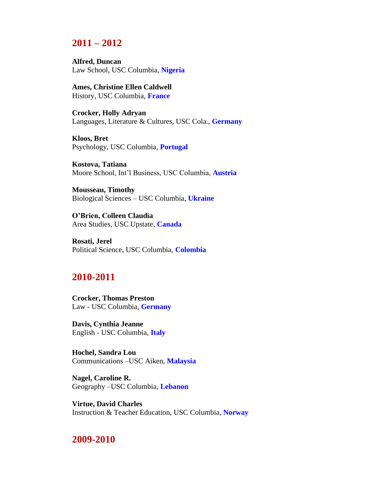# **2011 – 2012**

**Alfred, Duncan**  Law School, USC Columbia, **Nigeria** 

**Ames, Christine Ellen Caldwell**  History, USC Columbia, **France** 

**Crocker, Holly Adryan**  Languages, Literature & Cultures, USC Cola., **Germany** 

**Kloos, Bret**  Psychology, USC Columbia, **Portugal** 

**Kostova, Tatiana**  Moore School, Int'l Business, USC Columbia, **Austria** 

**Mousseau, Timothy**  Biological Sciences – USC Columbia, **Ukraine** 

**O'Brien, Colleen Claudia**  Area Studies, USC Upstate, **Canada** 

**Rosati, Jerel**  Political Science, USC Columbia, **Colombia** 

## **2010-2011**

**Crocker, Thomas Preston**  Law - USC Columbia, **Germany** 

**Davis, Cynthia Jeanne**  English - USC Columbia, **Italy** 

**Hochel, Sandra Lou**  Communications –USC Aiken, **Malaysia** 

**Nagel, Caroline R.**  Geography –USC Columbia, **Lebanon** 

**Virtue, David Charles**  Instruction & Teacher Education, USC Columbia, **Norway** 

#### **2009-2010**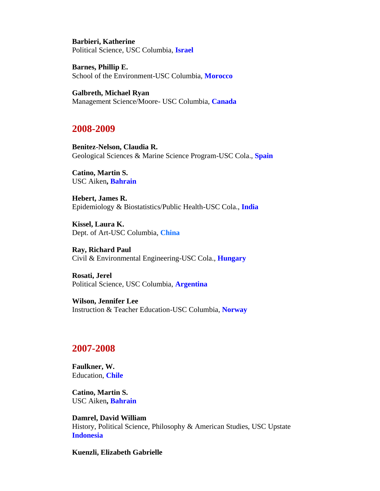**Barbieri, Katherine**  Political Science, USC Columbia, **Israel** 

**Barnes, Phillip E.**  School of the Environment-USC Columbia, **Morocco** 

**Galbreth, Michael Ryan**  Management Science/Moore- USC Columbia, **Canada** 

#### **2008-2009**

**Benitez-Nelson, Claudia R.**  Geological Sciences & Marine Science Program-USC Cola., **Spain** 

**Catino, Martin S.**  USC Aiken**, Bahrain** 

**Hebert, James R.**  Epidemiology & Biostatistics/Public Health-USC Cola., **India** 

**Kissel, Laura K.**  Dept. of Art-USC Columbia, **China** 

**Ray, Richard Paul**  Civil & Environmental Engineering-USC Cola., **Hungary** 

**Rosati, Jerel**  Political Science, USC Columbia, **Argentina** 

**Wilson, Jennifer Lee**  Instruction & Teacher Education-USC Columbia, **Norway** 

## **2007-2008**

**Faulkner, W.**  Education, **Chile** 

**Catino, Martin S.**  USC Aiken**, Bahrain** 

**Damrel, David William**  History, Political Science, Philosophy & American Studies, USC Upstate **Indonesia** 

**Kuenzli, Elizabeth Gabrielle**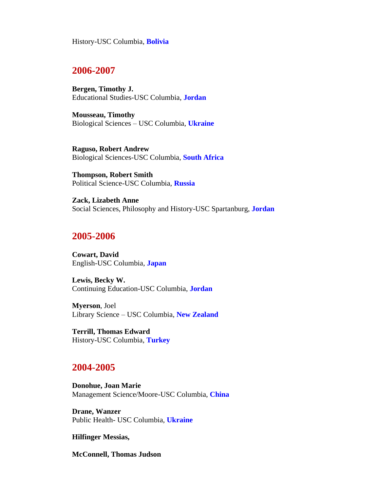History-USC Columbia, **Bolivia** 

#### **2006-2007**

**Bergen, Timothy J.**  Educational Studies-USC Columbia, **Jordan** 

**Mousseau, Timothy**  Biological Sciences – USC Columbia, **Ukraine** 

**Raguso, Robert Andrew**  Biological Sciences-USC Columbia, **South Africa** 

**Thompson, Robert Smith**  Political Science-USC Columbia, **Russia** 

**Zack, Lizabeth Anne**  Social Sciences, Philosophy and History-USC Spartanburg, **Jordan** 

#### **2005-2006**

**Cowart, David**  English-USC Columbia, **Japan** 

**Lewis, Becky W.**  Continuing Education-USC Columbia, **Jordan** 

**Myerson**, Joel Library Science – USC Columbia, **New Zealand** 

**Terrill, Thomas Edward**  History-USC Columbia, **Turkey** 

#### **2004-2005**

**Donohue, Joan Marie**  Management Science/Moore-USC Columbia, **China** 

**Drane, Wanzer**  Public Health- USC Columbia, **Ukraine** 

**Hilfinger Messias,** 

**McConnell, Thomas Judson**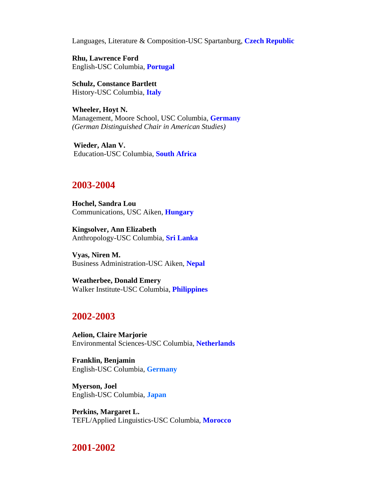Languages, Literature & Composition-USC Spartanburg, **Czech Republic** 

**Rhu, Lawrence Ford**  English-USC Columbia, **Portugal** 

**Schulz, Constance Bartlett**  History-USC Columbia, **Italy** 

**Wheeler, Hoyt N.**  Management, Moore School, USC Columbia, **Germany**  *(German Distinguished Chair in American Studies)* 

**Wieder, Alan V.**  Education-USC Columbia, **South Africa** 

## **2003-2004**

**Hochel, Sandra Lou**  Communications, USC Aiken, **Hungary** 

**Kingsolver, Ann Elizabeth**  Anthropology-USC Columbia, **Sri Lanka** 

**Vyas, Niren M.**  Business Administration-USC Aiken, **Nepal** 

**Weatherbee, Donald Emery**  Walker Institute-USC Columbia, **Philippines** 

## **2002-2003**

**Aelion, Claire Marjorie**  Environmental Sciences-USC Columbia, **Netherlands** 

**Franklin, Benjamin**  English-USC Columbia, **Germany** 

**Myerson, Joel**  English-USC Columbia, **Japan** 

**Perkins, Margaret L.**  TEFL/Applied Linguistics-USC Columbia, **Morocco** 

# **2001-2002**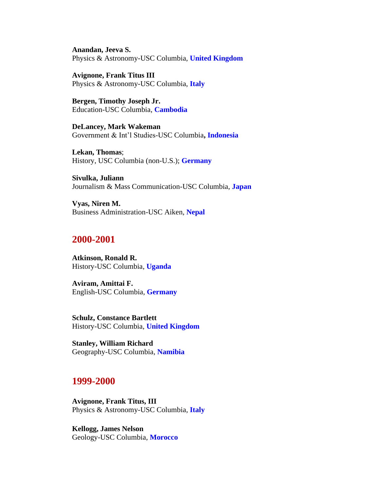**Anandan, Jeeva S.**  Physics & Astronomy-USC Columbia, **United Kingdom** 

**Avignone, Frank Titus III**  Physics & Astronomy-USC Columbia, **Italy** 

**Bergen, Timothy Joseph Jr.**  Education-USC Columbia, **Cambodia** 

**DeLancey, Mark Wakeman**  Government & Int'l Studies-USC Columbia**, Indonesia** 

**Lekan, Thomas**; [History, USC Columbia \(non-U.S.\);](http://www.cies.org/schlr_directories/usdir01/Hist21.htm) **Germany** 

**Sivulka, Juliann**  Journalism & Mass Communication-USC Columbia, **Japan** 

**Vyas, Niren M.**  Business Administration-USC Aiken, **Nepal** 

#### **2000-2001**

**Atkinson, Ronald R.**  History-USC Columbia, **Uganda** 

**Aviram, Amittai F.**  English-USC Columbia, **Germany** 

**Schulz, Constance Bartlett**  History-USC Columbia, **United Kingdom** 

**Stanley, William Richard**  Geography-USC Columbia, **Namibia** 

#### **1999-2000**

**Avignone, Frank Titus, III**  Physics & Astronomy-USC Columbia, **Italy** 

**Kellogg, James Nelson**  Geology-USC Columbia, **Morocco**